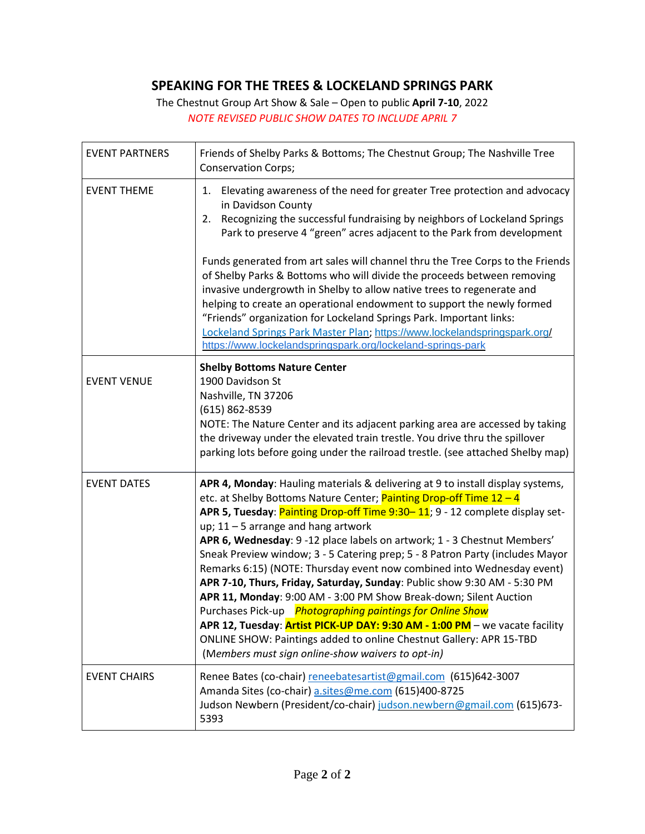## **SPEAKING FOR THE TREES & LOCKELAND SPRINGS PARK**

The Chestnut Group Art Show & Sale – Open to public **April 7-10**, 2022 *NOTE REVISED PUBLIC SHOW DATES TO INCLUDE APRIL 7*

| <b>EVENT PARTNERS</b> | Friends of Shelby Parks & Bottoms; The Chestnut Group; The Nashville Tree<br><b>Conservation Corps;</b>                                                                                                                                                                                                                                                                                                                                                                                                                                                                                                                                                                                                                                                                                                                                                                                                                                        |
|-----------------------|------------------------------------------------------------------------------------------------------------------------------------------------------------------------------------------------------------------------------------------------------------------------------------------------------------------------------------------------------------------------------------------------------------------------------------------------------------------------------------------------------------------------------------------------------------------------------------------------------------------------------------------------------------------------------------------------------------------------------------------------------------------------------------------------------------------------------------------------------------------------------------------------------------------------------------------------|
| <b>EVENT THEME</b>    | 1. Elevating awareness of the need for greater Tree protection and advocacy<br>in Davidson County<br>2. Recognizing the successful fundraising by neighbors of Lockeland Springs<br>Park to preserve 4 "green" acres adjacent to the Park from development<br>Funds generated from art sales will channel thru the Tree Corps to the Friends<br>of Shelby Parks & Bottoms who will divide the proceeds between removing<br>invasive undergrowth in Shelby to allow native trees to regenerate and                                                                                                                                                                                                                                                                                                                                                                                                                                              |
|                       | helping to create an operational endowment to support the newly formed<br>"Friends" organization for Lockeland Springs Park. Important links:<br>Lockeland Springs Park Master Plan; https://www.lockelandspringspark.org/<br>https://www.lockelandspringspark.org/lockeland-springs-park                                                                                                                                                                                                                                                                                                                                                                                                                                                                                                                                                                                                                                                      |
| <b>EVENT VENUE</b>    | <b>Shelby Bottoms Nature Center</b><br>1900 Davidson St<br>Nashville, TN 37206<br>(615) 862-8539<br>NOTE: The Nature Center and its adjacent parking area are accessed by taking<br>the driveway under the elevated train trestle. You drive thru the spillover<br>parking lots before going under the railroad trestle. (see attached Shelby map)                                                                                                                                                                                                                                                                                                                                                                                                                                                                                                                                                                                             |
| <b>EVENT DATES</b>    | APR 4, Monday: Hauling materials & delivering at 9 to install display systems,<br>etc. at Shelby Bottoms Nature Center; Painting Drop-off Time 12 - 4<br>APR 5, Tuesday: Painting Drop-off Time 9:30-11; 9 - 12 complete display set-<br>up; $11 - 5$ arrange and hang artwork<br>APR 6, Wednesday: 9 -12 place labels on artwork; 1 - 3 Chestnut Members'<br>Sneak Preview window; 3 - 5 Catering prep; 5 - 8 Patron Party (includes Mayor<br>Remarks 6:15) (NOTE: Thursday event now combined into Wednesday event)<br>APR 7-10, Thurs, Friday, Saturday, Sunday: Public show 9:30 AM - 5:30 PM<br>APR 11, Monday: 9:00 AM - 3:00 PM Show Break-down; Silent Auction<br>Purchases Pick-up Photographing paintings for Online Show<br>APR 12, Tuesday: Artist PICK-UP DAY: 9:30 AM - 1:00 PM - we vacate facility<br>ONLINE SHOW: Paintings added to online Chestnut Gallery: APR 15-TBD<br>(Members must sign online-show waivers to opt-in) |
| <b>EVENT CHAIRS</b>   | Renee Bates (co-chair) reneebatesartist@gmail.com (615)642-3007<br>Amanda Sites (co-chair) a.sites@me.com (615)400-8725<br>Judson Newbern (President/co-chair) judson.newbern@gmail.com (615)673-<br>5393                                                                                                                                                                                                                                                                                                                                                                                                                                                                                                                                                                                                                                                                                                                                      |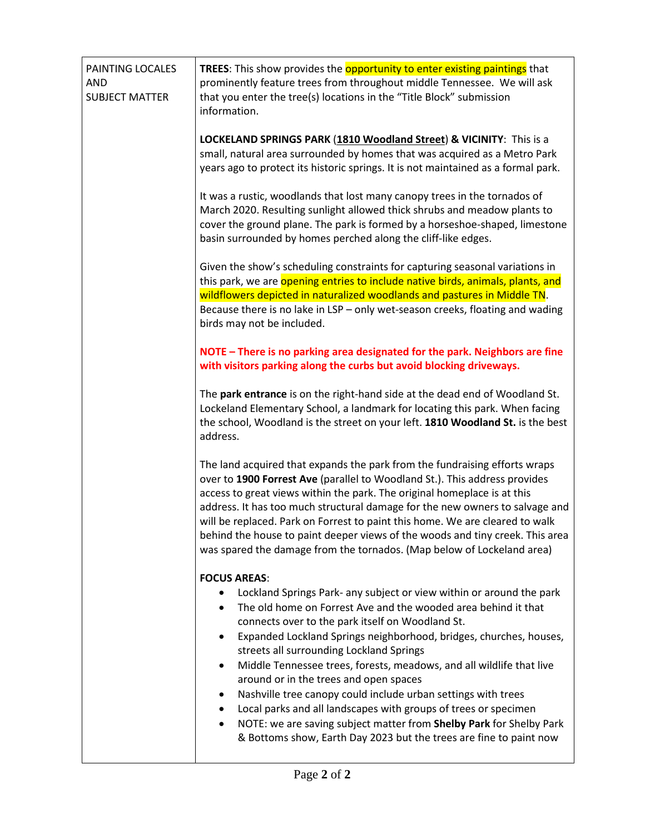| PAINTING LOCALES<br><b>AND</b><br><b>SUBJECT MATTER</b> | <b>TREES:</b> This show provides the <b>opportunity to enter existing paintings</b> that<br>prominently feature trees from throughout middle Tennessee. We will ask<br>that you enter the tree(s) locations in the "Title Block" submission<br>information.                                                                                                                                                                                                                                                                                                                                                                                                                                                                                                   |
|---------------------------------------------------------|---------------------------------------------------------------------------------------------------------------------------------------------------------------------------------------------------------------------------------------------------------------------------------------------------------------------------------------------------------------------------------------------------------------------------------------------------------------------------------------------------------------------------------------------------------------------------------------------------------------------------------------------------------------------------------------------------------------------------------------------------------------|
|                                                         | <b>LOCKELAND SPRINGS PARK (1810 Woodland Street) &amp; VICINITY:</b> This is a<br>small, natural area surrounded by homes that was acquired as a Metro Park<br>years ago to protect its historic springs. It is not maintained as a formal park.                                                                                                                                                                                                                                                                                                                                                                                                                                                                                                              |
|                                                         | It was a rustic, woodlands that lost many canopy trees in the tornados of<br>March 2020. Resulting sunlight allowed thick shrubs and meadow plants to<br>cover the ground plane. The park is formed by a horseshoe-shaped, limestone<br>basin surrounded by homes perched along the cliff-like edges.                                                                                                                                                                                                                                                                                                                                                                                                                                                         |
|                                                         | Given the show's scheduling constraints for capturing seasonal variations in<br>this park, we are opening entries to include native birds, animals, plants, and<br>wildflowers depicted in naturalized woodlands and pastures in Middle TN.<br>Because there is no lake in LSP - only wet-season creeks, floating and wading<br>birds may not be included.                                                                                                                                                                                                                                                                                                                                                                                                    |
|                                                         | NOTE - There is no parking area designated for the park. Neighbors are fine<br>with visitors parking along the curbs but avoid blocking driveways.                                                                                                                                                                                                                                                                                                                                                                                                                                                                                                                                                                                                            |
|                                                         | The park entrance is on the right-hand side at the dead end of Woodland St.<br>Lockeland Elementary School, a landmark for locating this park. When facing<br>the school, Woodland is the street on your left. 1810 Woodland St. is the best<br>address.                                                                                                                                                                                                                                                                                                                                                                                                                                                                                                      |
|                                                         | The land acquired that expands the park from the fundraising efforts wraps<br>over to 1900 Forrest Ave (parallel to Woodland St.). This address provides<br>access to great views within the park. The original homeplace is at this<br>address. It has too much structural damage for the new owners to salvage and<br>will be replaced. Park on Forrest to paint this home. We are cleared to walk<br>behind the house to paint deeper views of the woods and tiny creek. This area<br>was spared the damage from the tornados. (Map below of Lockeland area)                                                                                                                                                                                               |
|                                                         | <b>FOCUS AREAS:</b><br>Lockland Springs Park- any subject or view within or around the park<br>The old home on Forrest Ave and the wooded area behind it that<br>connects over to the park itself on Woodland St.<br>Expanded Lockland Springs neighborhood, bridges, churches, houses,<br>٠<br>streets all surrounding Lockland Springs<br>Middle Tennessee trees, forests, meadows, and all wildlife that live<br>$\bullet$<br>around or in the trees and open spaces<br>Nashville tree canopy could include urban settings with trees<br>Local parks and all landscapes with groups of trees or specimen<br>٠<br>NOTE: we are saving subject matter from Shelby Park for Shelby Park<br>& Bottoms show, Earth Day 2023 but the trees are fine to paint now |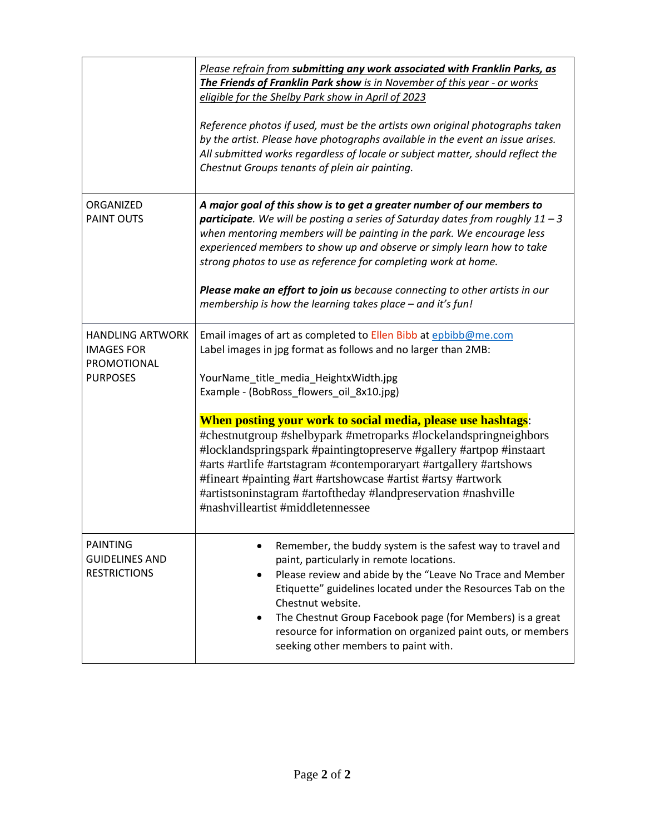|                                                                                | Please refrain from submitting any work associated with Franklin Parks, as<br>The Friends of Franklin Park show is in November of this year - or works<br>eligible for the Shelby Park show in April of 2023<br>Reference photos if used, must be the artists own original photographs taken<br>by the artist. Please have photographs available in the event an issue arises.<br>All submitted works regardless of locale or subject matter, should reflect the<br>Chestnut Groups tenants of plein air painting.                                                                                                                                                          |
|--------------------------------------------------------------------------------|-----------------------------------------------------------------------------------------------------------------------------------------------------------------------------------------------------------------------------------------------------------------------------------------------------------------------------------------------------------------------------------------------------------------------------------------------------------------------------------------------------------------------------------------------------------------------------------------------------------------------------------------------------------------------------|
| ORGANIZED<br><b>PAINT OUTS</b>                                                 | A major goal of this show is to get a greater number of our members to<br><b>participate</b> . We will be posting a series of Saturday dates from roughly $11 - 3$<br>when mentoring members will be painting in the park. We encourage less<br>experienced members to show up and observe or simply learn how to take<br>strong photos to use as reference for completing work at home.<br>Please make an effort to join us because connecting to other artists in our<br>membership is how the learning takes place - and it's fun!                                                                                                                                       |
| <b>HANDLING ARTWORK</b><br><b>IMAGES FOR</b><br>PROMOTIONAL<br><b>PURPOSES</b> | Email images of art as completed to Ellen Bibb at epbibb@me.com<br>Label images in jpg format as follows and no larger than 2MB:<br>YourName_title_media_HeightxWidth.jpg<br>Example - (BobRoss_flowers_oil_8x10.jpg)<br>When posting your work to social media, please use hashtags:<br>#chestnutgroup #shelbypark #metroparks #lockelandspringneighbors<br>#locklandspringspark #paintingtopreserve #gallery #artpop #instaart<br>#arts #artlife #artstagram #contemporaryart #artgallery #artshows<br>#fineart #painting #art #artshowcase #artist #artsy #artwork<br>#artistsoninstagram #artoftheday #landpreservation #nashville<br>#nashvilleartist #middletennessee |
| <b>PAINTING</b><br><b>GUIDELINES AND</b><br><b>RESTRICTIONS</b>                | Remember, the buddy system is the safest way to travel and<br>paint, particularly in remote locations.<br>Please review and abide by the "Leave No Trace and Member<br>Etiquette" guidelines located under the Resources Tab on the<br>Chestnut website.<br>The Chestnut Group Facebook page (for Members) is a great<br>resource for information on organized paint outs, or members<br>seeking other members to paint with.                                                                                                                                                                                                                                               |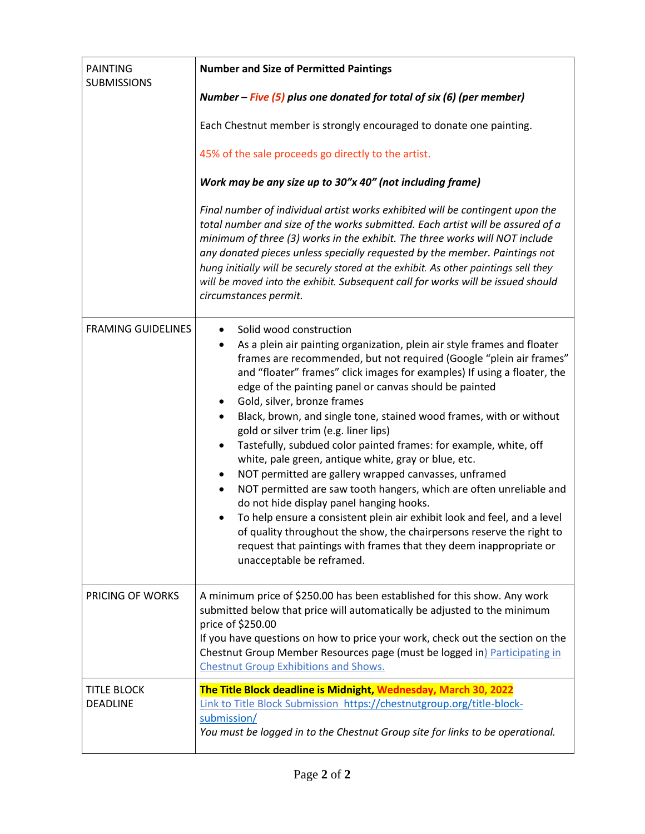| <b>PAINTING</b><br><b>SUBMISSIONS</b> | <b>Number and Size of Permitted Paintings</b>                                                                                                                                                                                                                                                                                                                                                                                                                                                                                                                                                                                                                                                                                                                                                                                                                                                                                                                                                                                                                                                                       |
|---------------------------------------|---------------------------------------------------------------------------------------------------------------------------------------------------------------------------------------------------------------------------------------------------------------------------------------------------------------------------------------------------------------------------------------------------------------------------------------------------------------------------------------------------------------------------------------------------------------------------------------------------------------------------------------------------------------------------------------------------------------------------------------------------------------------------------------------------------------------------------------------------------------------------------------------------------------------------------------------------------------------------------------------------------------------------------------------------------------------------------------------------------------------|
|                                       | Number – Five $(5)$ plus one donated for total of six (6) (per member)                                                                                                                                                                                                                                                                                                                                                                                                                                                                                                                                                                                                                                                                                                                                                                                                                                                                                                                                                                                                                                              |
|                                       | Each Chestnut member is strongly encouraged to donate one painting.                                                                                                                                                                                                                                                                                                                                                                                                                                                                                                                                                                                                                                                                                                                                                                                                                                                                                                                                                                                                                                                 |
|                                       | 45% of the sale proceeds go directly to the artist.                                                                                                                                                                                                                                                                                                                                                                                                                                                                                                                                                                                                                                                                                                                                                                                                                                                                                                                                                                                                                                                                 |
|                                       | Work may be any size up to 30"x 40" (not including frame)                                                                                                                                                                                                                                                                                                                                                                                                                                                                                                                                                                                                                                                                                                                                                                                                                                                                                                                                                                                                                                                           |
|                                       | Final number of individual artist works exhibited will be contingent upon the<br>total number and size of the works submitted. Each artist will be assured of a<br>minimum of three (3) works in the exhibit. The three works will NOT include<br>any donated pieces unless specially requested by the member. Paintings not<br>hung initially will be securely stored at the exhibit. As other paintings sell they<br>will be moved into the exhibit. Subsequent call for works will be issued should<br>circumstances permit.                                                                                                                                                                                                                                                                                                                                                                                                                                                                                                                                                                                     |
| <b>FRAMING GUIDELINES</b>             | Solid wood construction<br>$\bullet$<br>As a plein air painting organization, plein air style frames and floater<br>$\bullet$<br>frames are recommended, but not required (Google "plein air frames"<br>and "floater" frames" click images for examples) If using a floater, the<br>edge of the painting panel or canvas should be painted<br>Gold, silver, bronze frames<br>٠<br>Black, brown, and single tone, stained wood frames, with or without<br>$\bullet$<br>gold or silver trim (e.g. liner lips)<br>Tastefully, subdued color painted frames: for example, white, off<br>$\bullet$<br>white, pale green, antique white, gray or blue, etc.<br>NOT permitted are gallery wrapped canvasses, unframed<br>$\bullet$<br>NOT permitted are saw tooth hangers, which are often unreliable and<br>$\bullet$<br>do not hide display panel hanging hooks.<br>To help ensure a consistent plein air exhibit look and feel, and a level<br>of quality throughout the show, the chairpersons reserve the right to<br>request that paintings with frames that they deem inappropriate or<br>unacceptable be reframed. |
| <b>PRICING OF WORKS</b>               | A minimum price of \$250.00 has been established for this show. Any work<br>submitted below that price will automatically be adjusted to the minimum<br>price of \$250.00<br>If you have questions on how to price your work, check out the section on the<br>Chestnut Group Member Resources page (must be logged in) Participating in<br><b>Chestnut Group Exhibitions and Shows.</b>                                                                                                                                                                                                                                                                                                                                                                                                                                                                                                                                                                                                                                                                                                                             |
| <b>TITLE BLOCK</b><br>DEADLINE        | The Title Block deadline is Midnight, Wednesday, March 30, 2022<br>Link to Title Block Submission https://chestnutgroup.org/title-block-<br>submission/<br>You must be logged in to the Chestnut Group site for links to be operational.                                                                                                                                                                                                                                                                                                                                                                                                                                                                                                                                                                                                                                                                                                                                                                                                                                                                            |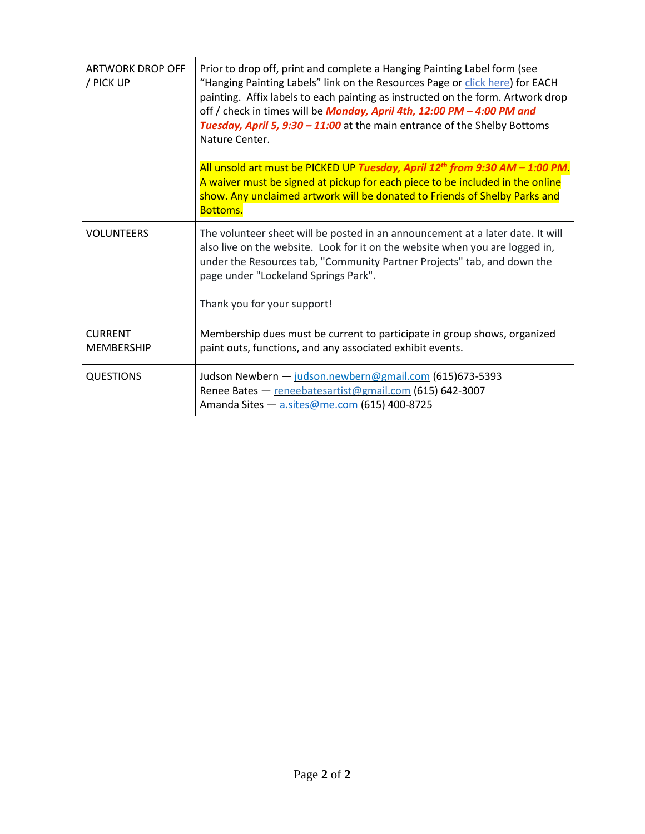| <b>ARTWORK DROP OFF</b><br>/ PICK UP | Prior to drop off, print and complete a Hanging Painting Label form (see<br>"Hanging Painting Labels" link on the Resources Page or click here) for EACH<br>painting. Affix labels to each painting as instructed on the form. Artwork drop<br>off / check in times will be Monday, April 4th, 12:00 PM - 4:00 PM and<br>Tuesday, April 5, 9:30 - 11:00 at the main entrance of the Shelby Bottoms<br>Nature Center.<br>All unsold art must be PICKED UP Tuesday, April 12 <sup>th</sup> from 9:30 AM - 1:00 PM. |
|--------------------------------------|------------------------------------------------------------------------------------------------------------------------------------------------------------------------------------------------------------------------------------------------------------------------------------------------------------------------------------------------------------------------------------------------------------------------------------------------------------------------------------------------------------------|
|                                      | A waiver must be signed at pickup for each piece to be included in the online<br>show. Any unclaimed artwork will be donated to Friends of Shelby Parks and<br><b>Bottoms.</b>                                                                                                                                                                                                                                                                                                                                   |
| <b>VOLUNTEERS</b>                    | The volunteer sheet will be posted in an announcement at a later date. It will<br>also live on the website. Look for it on the website when you are logged in,<br>under the Resources tab, "Community Partner Projects" tab, and down the<br>page under "Lockeland Springs Park".                                                                                                                                                                                                                                |
|                                      | Thank you for your support!                                                                                                                                                                                                                                                                                                                                                                                                                                                                                      |
| <b>CURRENT</b><br><b>MEMBERSHIP</b>  | Membership dues must be current to participate in group shows, organized<br>paint outs, functions, and any associated exhibit events.                                                                                                                                                                                                                                                                                                                                                                            |
| <b>QUESTIONS</b>                     | Judson Newbern - judson.newbern@gmail.com (615)673-5393<br>Renee Bates - reneebatesartist@gmail.com (615) 642-3007<br>Amanda Sites - a.sites@me.com (615) 400-8725                                                                                                                                                                                                                                                                                                                                               |